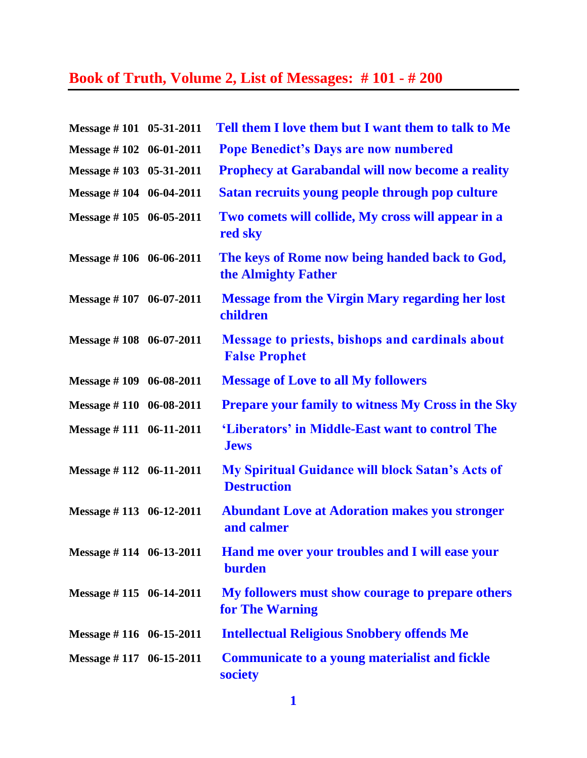## **Book of Truth, Volume 2, List of Messages: # 101 - # 200**

| Message #101 05-31-2011     | Tell them I love them but I want them to talk to Me                            |
|-----------------------------|--------------------------------------------------------------------------------|
| Message #102 06-01-2011     | <b>Pope Benedict's Days are now numbered</b>                                   |
| Message #103 05-31-2011     | <b>Prophecy at Garabandal will now become a reality</b>                        |
| Message #104 06-04-2011     | Satan recruits young people through pop culture                                |
| Message #105 06-05-2011     | Two comets will collide, My cross will appear in a<br>red sky                  |
| Message #106 06-06-2011     | The keys of Rome now being handed back to God,<br>the Almighty Father          |
| Message #107 06-07-2011     | <b>Message from the Virgin Mary regarding her lost</b><br>children             |
| Message #108 06-07-2011     | <b>Message to priests, bishops and cardinals about</b><br><b>False Prophet</b> |
| Message #109 06-08-2011     | <b>Message of Love to all My followers</b>                                     |
| Message #110 06-08-2011     | <b>Prepare your family to witness My Cross in the Sky</b>                      |
| Message #111 06-11-2011     | 'Liberators' in Middle-East want to control The<br><b>Jews</b>                 |
| Message $\#$ 112 06-11-2011 | <b>My Spiritual Guidance will block Satan's Acts of</b><br><b>Destruction</b>  |
| Message $\#$ 113 06-12-2011 | <b>Abundant Love at Adoration makes you stronger</b><br>and calmer             |
| Message #114 06-13-2011     | <b>Hand me over your troubles and I will ease your</b><br><b>burden</b>        |
| Message #115 06-14-2011     | My followers must show courage to prepare others<br>for The Warning            |
| Message $\#$ 116 06-15-2011 | <b>Intellectual Religious Snobbery offends Me</b>                              |
| Message $\#$ 117 06-15-2011 | <b>Communicate to a young materialist and fickle</b><br>society                |

**1**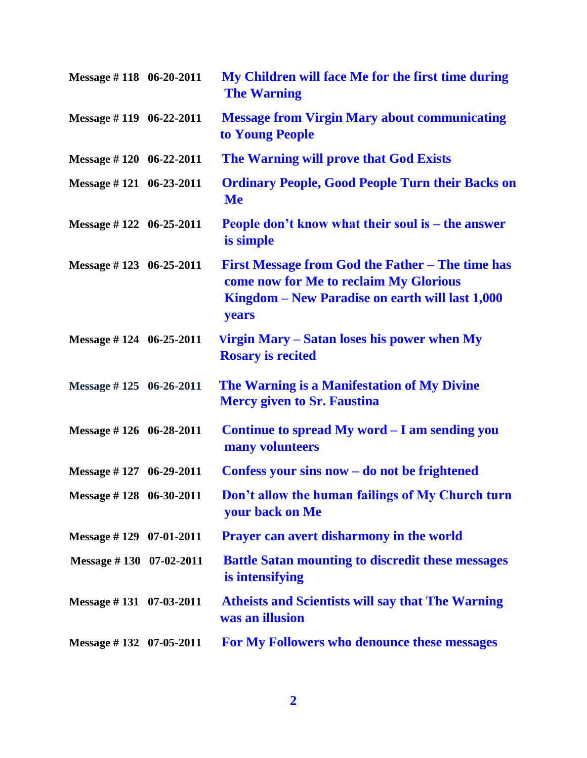| Message #118 06-20-2011     | My Children will face Me for the first time during<br><b>The Warning</b>                                                                               |
|-----------------------------|--------------------------------------------------------------------------------------------------------------------------------------------------------|
| Message #119 06-22-2011     | <b>Message from Virgin Mary about communicating</b><br>to Young People                                                                                 |
| Message $\#$ 120 06-22-2011 | The Warning will prove that God Exists                                                                                                                 |
| Message $\#$ 121 06-23-2011 | <b>Ordinary People, Good People Turn their Backs on</b><br><b>Me</b>                                                                                   |
| Message $\#$ 122 06-25-2011 | People don't know what their soul is – the answer<br>is simple                                                                                         |
| Message $\#$ 123 06-25-2011 | First Message from God the Father – The time has<br>come now for Me to reclaim My Glorious<br>Kingdom – New Paradise on earth will last 1,000<br>years |
| Message $\#$ 124 06-25-2011 | Virgin Mary - Satan loses his power when My<br><b>Rosary is recited</b>                                                                                |
| Message $\#$ 125 06-26-2011 | The Warning is a Manifestation of My Divine<br><b>Mercy given to Sr. Faustina</b>                                                                      |
| Message $\#$ 126 06-28-2011 | Continue to spread My word - I am sending you<br>many volunteers                                                                                       |
| Message #127 06-29-2011     | Confess your sins now $-$ do not be frightened                                                                                                         |
| Message #128 06-30-2011     | Don't allow the human failings of My Church turn<br>your back on Me                                                                                    |
| Message #129 07-01-2011     | <b>Prayer can avert disharmony in the world</b>                                                                                                        |
| Message #130 07-02-2011     | <b>Battle Satan mounting to discredit these messages</b><br>is intensifying                                                                            |
| Message #131 07-03-2011     | <b>Atheists and Scientists will say that The Warning</b><br>was an illusion                                                                            |
| Message #132 07-05-2011     | For My Followers who denounce these messages                                                                                                           |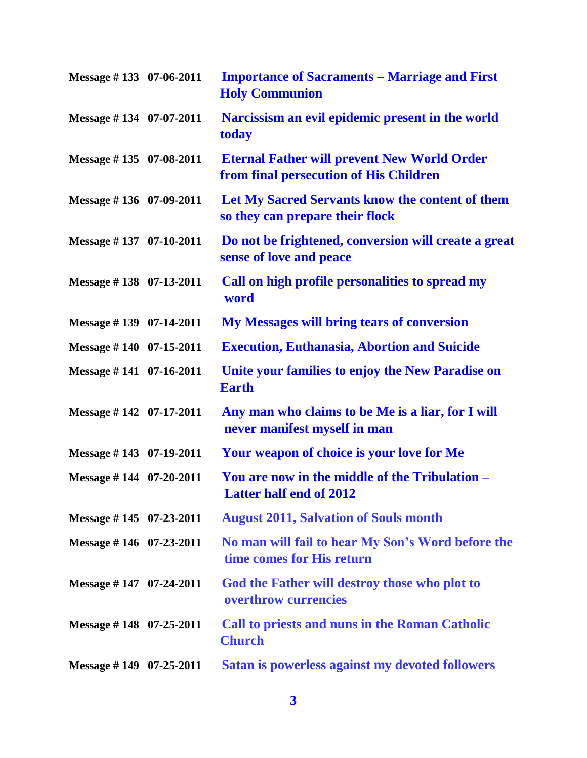| Message #133 07-06-2011     | <b>Importance of Sacraments – Marriage and First</b><br><b>Holy Communion</b>                |
|-----------------------------|----------------------------------------------------------------------------------------------|
| Message #134 07-07-2011     | Narcissism an evil epidemic present in the world<br>today                                    |
| Message #135 07-08-2011     | <b>Eternal Father will prevent New World Order</b><br>from final persecution of His Children |
| Message #136 07-09-2011     | Let My Sacred Servants know the content of them<br>so they can prepare their flock           |
| Message #137 07-10-2011     | Do not be frightened, conversion will create a great<br>sense of love and peace              |
| Message #138 07-13-2011     | Call on high profile personalities to spread my<br>word                                      |
| Message #139 07-14-2011     | <b>My Messages will bring tears of conversion</b>                                            |
| Message #140 07-15-2011     | <b>Execution, Euthanasia, Abortion and Suicide</b>                                           |
| Message #141 07-16-2011     | Unite your families to enjoy the New Paradise on<br><b>Earth</b>                             |
| Message #142 07-17-2011     | Any man who claims to be Me is a liar, for I will<br>never manifest myself in man            |
| Message #143 07-19-2011     | <b>Your weapon of choice is your love for Me</b>                                             |
| Message #144 07-20-2011     | You are now in the middle of the Tribulation –<br><b>Latter half end of 2012</b>             |
| Message $\#$ 145 07-23-2011 | <b>August 2011, Salvation of Souls month</b>                                                 |
| Message $\#$ 146 07-23-2011 | No man will fail to hear My Son's Word before the<br>time comes for His return               |
| Message #147 07-24-2011     | God the Father will destroy those who plot to<br>overthrow currencies                        |
| Message $\#$ 148 07-25-2011 | <b>Call to priests and nuns in the Roman Catholic</b><br><b>Church</b>                       |
| Message $\#$ 149 07-25-2011 | Satan is powerless against my devoted followers                                              |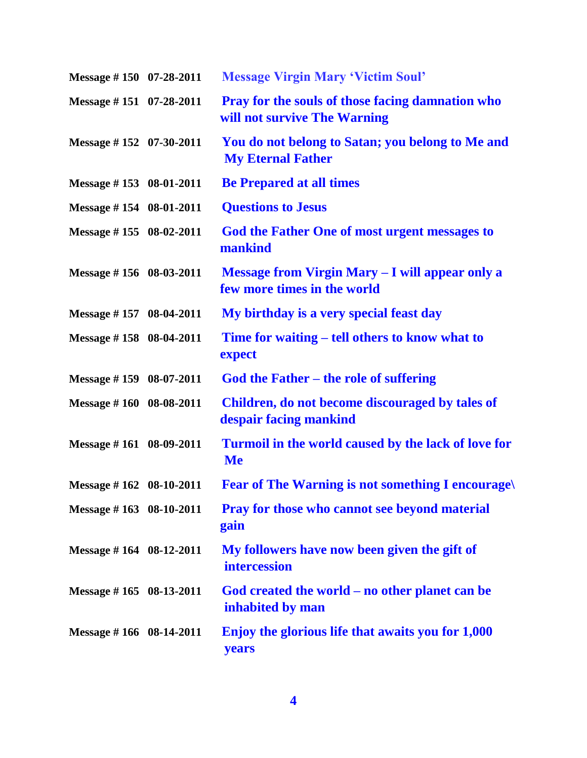| Message #150 07-28-2011           | <b>Message Virgin Mary 'Victim Soul'</b>                                                |
|-----------------------------------|-----------------------------------------------------------------------------------------|
| Message #151 07-28-2011           | <b>Pray for the souls of those facing damnation who</b><br>will not survive The Warning |
| Message $\#$ 152 07-30-2011       | You do not belong to Satan; you belong to Me and<br><b>My Eternal Father</b>            |
| Message #153 08-01-2011           | <b>Be Prepared at all times</b>                                                         |
| Message #154 08-01-2011           | <b>Questions to Jesus</b>                                                               |
| Message #155 08-02-2011           | God the Father One of most urgent messages to<br>mankind                                |
| Message #156 08-03-2011           | Message from Virgin Mary - I will appear only a<br>few more times in the world          |
| Message #157 08-04-2011           | My birthday is a very special feast day                                                 |
| Message #158 08-04-2011           | Time for waiting – tell others to know what to<br>expect                                |
| Message $\#$ 159 08-07-2011       | God the Father – the role of suffering                                                  |
| Message #160 08-08-2011           | Children, do not become discouraged by tales of<br>despair facing mankind               |
| Message #161 08-09-2011           | Turmoil in the world caused by the lack of love for<br><b>Me</b>                        |
| Message $\# 162 \quad 08-10-2011$ | <b>Fear of The Warning is not something I encourage.</b>                                |
| Message #163 08-10-2011           | <b>Pray for those who cannot see beyond material</b><br>gain                            |
| Message $\# 164$ 08-12-2011       | My followers have now been given the gift of<br>intercession                            |
| Message #165 08-13-2011           | God created the world – no other planet can be<br>inhabited by man                      |
| Message $\# 166$ 08-14-2011       | Enjoy the glorious life that awaits you for 1,000<br>years                              |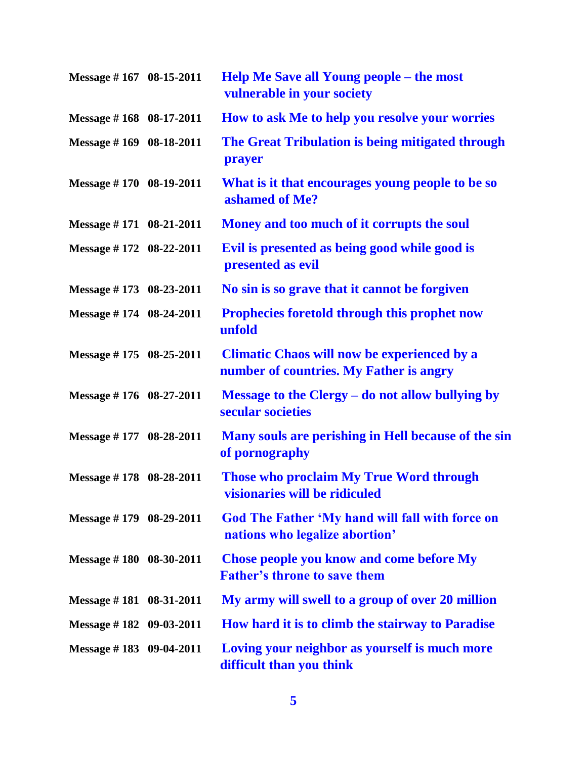| Message #167 08-15-2011 | <b>Help Me Save all Young people – the most</b><br>vulnerable in your society                 |
|-------------------------|-----------------------------------------------------------------------------------------------|
| Message #168 08-17-2011 | How to ask Me to help you resolve your worries                                                |
| Message #169 08-18-2011 | The Great Tribulation is being mitigated through<br>prayer                                    |
| Message #170 08-19-2011 | What is it that encourages young people to be so<br>ashamed of Me?                            |
| Message #171 08-21-2011 | Money and too much of it corrupts the soul                                                    |
| Message #172 08-22-2011 | Evil is presented as being good while good is<br>presented as evil                            |
| Message #173 08-23-2011 | No sin is so grave that it cannot be forgiven                                                 |
| Message #174 08-24-2011 | <b>Prophecies foretold through this prophet now</b><br>unfold                                 |
| Message #175 08-25-2011 | <b>Climatic Chaos will now be experienced by a</b><br>number of countries. My Father is angry |
| Message #176 08-27-2011 | Message to the Clergy – do not allow bullying by<br>secular societies                         |
| Message #177 08-28-2011 | Many souls are perishing in Hell because of the sin<br>of pornography                         |
| Message #178 08-28-2011 | Those who proclaim My True Word through<br>visionaries will be ridiculed                      |
| Message #179 08-29-2011 | God The Father 'My hand will fall with force on<br>nations who legalize abortion'             |
| Message #180 08-30-2011 | <b>Chose people you know and come before My</b><br><b>Father's throne to save them</b>        |
| Message #181 08-31-2011 | My army will swell to a group of over 20 million                                              |
| Message #182 09-03-2011 | How hard it is to climb the stairway to Paradise                                              |
| Message #183 09-04-2011 | Loving your neighbor as yourself is much more<br>difficult than you think                     |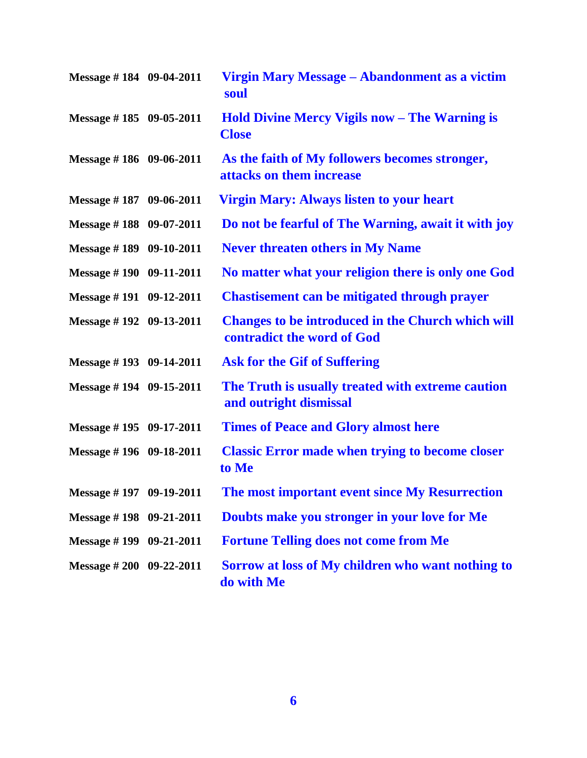| Message #184 09-04-2011     | Virgin Mary Message – Abandonment as a victim<br>soul                                  |
|-----------------------------|----------------------------------------------------------------------------------------|
| Message $\#$ 185 09-05-2011 | <b>Hold Divine Mercy Vigils now – The Warning is</b><br><b>Close</b>                   |
| Message $\# 186$ 09-06-2011 | As the faith of My followers becomes stronger,<br>attacks on them increase             |
| Message #187 09-06-2011     | <b>Virgin Mary: Always listen to your heart</b>                                        |
| Message #188 09-07-2011     | Do not be fearful of The Warning, await it with joy                                    |
| Message #189 09-10-2011     | <b>Never threaten others in My Name</b>                                                |
| Message #190 09-11-2011     | No matter what your religion there is only one God                                     |
| Message #191 09-12-2011     | <b>Chastisement can be mitigated through prayer</b>                                    |
| Message #192 09-13-2011     | <b>Changes to be introduced in the Church which will</b><br>contradict the word of God |
| Message $\#$ 193 09-14-2011 | <b>Ask for the Gif of Suffering</b>                                                    |
| Message #194 09-15-2011     | The Truth is usually treated with extreme caution<br>and outright dismissal            |
| Message #195 09-17-2011     | <b>Times of Peace and Glory almost here</b>                                            |
| Message #196 09-18-2011     | <b>Classic Error made when trying to become closer</b><br>to Me                        |
| Message #197 09-19-2011     | The most important event since My Resurrection                                         |
| Message $\#$ 198 09-21-2011 | Doubts make you stronger in your love for Me                                           |
| Message $\#$ 199 09-21-2011 | <b>Fortune Telling does not come from Me</b>                                           |
| Message # 200 09-22-2011    | Sorrow at loss of My children who want nothing to<br>do with Me                        |